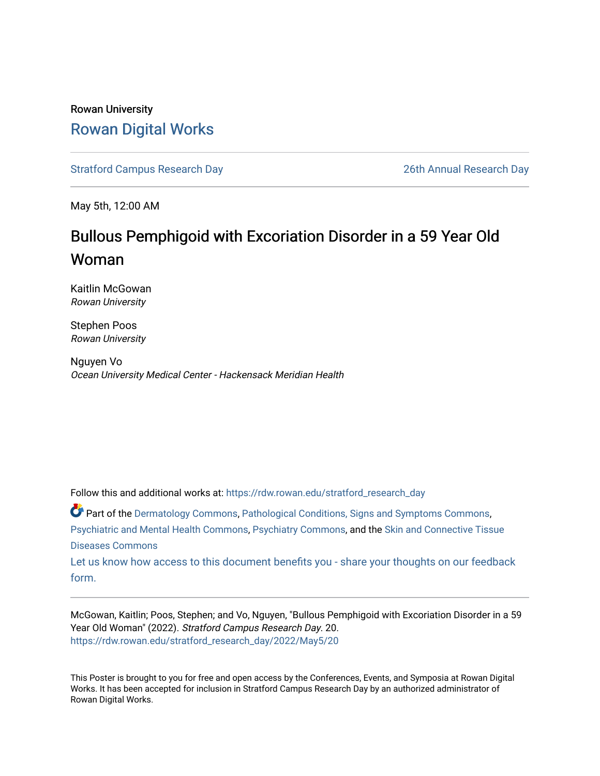### Rowan University [Rowan Digital Works](https://rdw.rowan.edu/)

[Stratford Campus Research Day](https://rdw.rowan.edu/stratford_research_day) [26th Annual Research Day](https://rdw.rowan.edu/stratford_research_day/2022) 

May 5th, 12:00 AM

### Bullous Pemphigoid with Excoriation Disorder in a 59 Year Old Woman

Kaitlin McGowan Rowan University

Stephen Poos Rowan University

Nguyen Vo Ocean University Medical Center - Hackensack Meridian Health

Follow this and additional works at: [https://rdw.rowan.edu/stratford\\_research\\_day](https://rdw.rowan.edu/stratford_research_day?utm_source=rdw.rowan.edu%2Fstratford_research_day%2F2022%2FMay5%2F20&utm_medium=PDF&utm_campaign=PDFCoverPages)

Part of the [Dermatology Commons,](https://network.bepress.com/hgg/discipline/684?utm_source=rdw.rowan.edu%2Fstratford_research_day%2F2022%2FMay5%2F20&utm_medium=PDF&utm_campaign=PDFCoverPages) [Pathological Conditions, Signs and Symptoms Commons,](https://network.bepress.com/hgg/discipline/1004?utm_source=rdw.rowan.edu%2Fstratford_research_day%2F2022%2FMay5%2F20&utm_medium=PDF&utm_campaign=PDFCoverPages) [Psychiatric and Mental Health Commons](https://network.bepress.com/hgg/discipline/711?utm_source=rdw.rowan.edu%2Fstratford_research_day%2F2022%2FMay5%2F20&utm_medium=PDF&utm_campaign=PDFCoverPages), [Psychiatry Commons,](https://network.bepress.com/hgg/discipline/704?utm_source=rdw.rowan.edu%2Fstratford_research_day%2F2022%2FMay5%2F20&utm_medium=PDF&utm_campaign=PDFCoverPages) and the [Skin and Connective Tissue](https://network.bepress.com/hgg/discipline/942?utm_source=rdw.rowan.edu%2Fstratford_research_day%2F2022%2FMay5%2F20&utm_medium=PDF&utm_campaign=PDFCoverPages)  [Diseases Commons](https://network.bepress.com/hgg/discipline/942?utm_source=rdw.rowan.edu%2Fstratford_research_day%2F2022%2FMay5%2F20&utm_medium=PDF&utm_campaign=PDFCoverPages) 

[Let us know how access to this document benefits you - share your thoughts on our feedback](https://www.lib.rowan.edu/rdw-feedback?ref=https://rdw.rowan.edu/stratford_research_day/2022/May5/20) [form.](https://www.lib.rowan.edu/rdw-feedback?ref=https://rdw.rowan.edu/stratford_research_day/2022/May5/20)

McGowan, Kaitlin; Poos, Stephen; and Vo, Nguyen, "Bullous Pemphigoid with Excoriation Disorder in a 59 Year Old Woman" (2022). Stratford Campus Research Day. 20. [https://rdw.rowan.edu/stratford\\_research\\_day/2022/May5/20](https://rdw.rowan.edu/stratford_research_day/2022/May5/20?utm_source=rdw.rowan.edu%2Fstratford_research_day%2F2022%2FMay5%2F20&utm_medium=PDF&utm_campaign=PDFCoverPages) 

This Poster is brought to you for free and open access by the Conferences, Events, and Symposia at Rowan Digital Works. It has been accepted for inclusion in Stratford Campus Research Day by an authorized administrator of Rowan Digital Works.